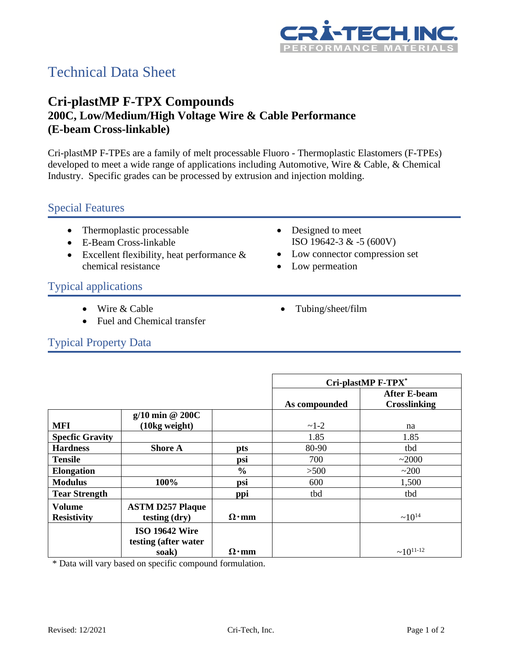

# Technical Data Sheet

## **Cri-plastMP F-TPX Compounds 200C, Low/Medium/High Voltage Wire & Cable Performance (E-beam Cross-linkable)**

Cri-plastMP F-TPEs are a family of melt processable Fluoro - Thermoplastic Elastomers (F-TPEs) developed to meet a wide range of applications including Automotive, Wire & Cable, & Chemical Industry. Specific grades can be processed by extrusion and injection molding.

#### Special Features

- Thermoplastic processable
- E-Beam Cross-linkable
- Excellent flexibility, heat performance & chemical resistance
- Designed to meet ISO 19642-3 & -5 (600V)
- Low connector compression set
- Low permeation

#### Typical applications

- Wire & Cable
- Fuel and Chemical transfer

• Tubing/sheet/film

# Typical Property Data

|                        |                         |               | Cri-plastMP F-TPX* |                     |
|------------------------|-------------------------|---------------|--------------------|---------------------|
|                        |                         |               |                    | <b>After E-beam</b> |
|                        |                         |               | As compounded      | <b>Crosslinking</b> |
|                        | $g/10$ min @ 200C       |               |                    |                     |
| <b>MFI</b>             | (10kg weight)           |               | $~1 - 2$           | na                  |
| <b>Specfic Gravity</b> |                         |               | 1.85               | 1.85                |
| <b>Hardness</b>        | <b>Shore A</b>          | pts           | 80-90              | tbd                 |
| <b>Tensile</b>         |                         | psi           | 700                | ~2000               |
| <b>Elongation</b>      |                         | $\frac{0}{0}$ | >500               | ~200                |
| <b>Modulus</b>         | 100%                    | psi           | 600                | 1,500               |
| <b>Tear Strength</b>   |                         | ppi           | tbd                | tbd                 |
| <b>Volume</b>          | <b>ASTM D257 Plaque</b> |               |                    |                     |
| <b>Resistivity</b>     | testing (dry)           | $\Omega$ ·mm  |                    | $~10^{14}$          |
|                        | <b>ISO 19642 Wire</b>   |               |                    |                     |
|                        | testing (after water    |               |                    |                     |
|                        | soak)                   | $\Omega$ ·mm  |                    | $~10^{11-12}$       |

\* Data will vary based on specific compound formulation.